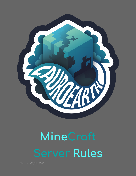

# **MineCraft Server Rules**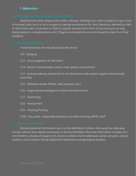## **1. Behaviors**

Stealing from other players and raids is allowed. Stealing from other residents in your town is frowned upon, but it is up to mayors to decide punishments for that. Stealing is defined as theft of items from item containers or theft of specific blocks/items from structures (such as only taking beacons, valuable blocks, etc). Mayors and assistants are not allowed to steal from their residents.

These behaviors are not allowed on the server:

- 1.2.1 Bullying
- 1.2.2 Encouragement of self-harm
- 1.2.3 Racism, homophobia, sexism, hate speech, harassment

1.2.4 - Inciting violence, explicit forms of racial basis, hate speech against racial/social minorities

- 1.2.5 Offensive builds (Phallic, hate symbols, etc.)
- 1.2.6 Inappropriate dialogue or actions towards minors
- 1.2.7 Spamming
- 1.2.8 Harassment
- 1.2.9 Flaming/Trolling

1.2.10 - Any other undesirable behaviors as determined by AEMC Staff.

Sharing personal information such as the identities of others, that would be otherwise private, without their explicit permission is strictly forbidden. Personal information includes, but not limited to; photos of players (irl), phone numbers, home addresses, social networks, school location, work location, family relations,IP addresses and geological location.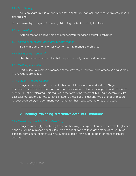You can share links in whispers and town chats. You can only share server related links in general chat.

Links to sexual/pornographic, violent, disturbing content is strictly forbidden.

Any promotion or advertising of other servers/services is strictly prohibited.

Selling in-game items or services for real life money is prohibited.

Use the correct channels for their respective designation and purpose.

Portraying yourself as a member of the staff team, that would be otherwise a false claim, in any way is prohibited.

Players are expected to respect others at all times. We understand that Siege environments can be a hostile and stressful environment, but intentional poor conduct towards others will not be tolerated. This may be in the form of harassment, bullying, excessive insults, excessive derogatory terms, but isn't limited to these specific actions. We ask that all players respect each other, and commend each other for their respective victories and losses.

## **2. Cheating, exploiting, alternative accounts, limitations**

Players knowingly benefitting from another player's exploitation or rules, exploits, glitches or hacks; will be punished equally. Players are not allowed to take advantage of server bugs, exploits, game bugs, exploits, such as duping, block-glitching, afk bypass, or other technical oversights.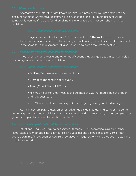Alternative accounts, otherwise known as "alts", are prohibited. You are entitled to one account per player. Alternative accounts will be suspended, and your main account will be temporarily banned if you are found breaking this rule deliberately. Account sharing is also prohibited.

Players are permitted to have **1 Java** account and **1 Bedrock** account. However, these two accounts act as one. Therefore you must have your Bedrock and Java accounts in the same town. Punishments will also be issued to both accounts respectively.

Cheat clients, macro keying and other modifications that give you a technical/gameplay advantage over another player is prohibited.

- OptFine/Performance improvement mods.
- Litematica (printing is not allowed).
- Armor/Effect Status HUD mods.
- Minimap Mods (only as much as the dynmap shows, that means no cave finder and no player icons)
- PvP Clients are allowed so long as it doesn't give you any unfair advantages.

As the Minecraft EULA states, an unfair advantage is defined as: "in a competitive game something that, given equal skill levels, time investment, and circumstances, causes one player or group of players to perform better than another."

Intentionally causing harm to our services through DDoS, spamming, raiding or other illegal exploitive methods is not allowed. This includes actions defined in section 2 rule 1 that cause downtime/interruption of AuroEarth services. All illegal actions will be logged in detail and may be reported.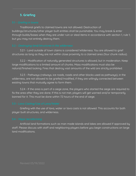# **3. Griefing**

Traditional griefs to claimed towns are not allowed. Destruction of buildings/structures/other player built entities shall be punishable. You may break & enter through builds/bases when they are under ruin or steal items in accordance with section 1, rule 1; but you may not entirely destroy them.

3.2.1 - Land outside of town claims is considered Wilderness. You are allowed to grief structures as long as they are not within close proximity to a claimed area (four chunk radius).

3.2.2 - Modification of naturally generated structures is allowed, but in moderation. Keep large modifications to a limited amount of chunks. Mass modifications must also be natural/finished looking. Fires that destroy vast amounts of the wild are strictly prohibited.

3.2.3 - Pathways (railways, ice roads, roads and other blocks used as pathways), in the wilderness, are not allowed to be griefed/modified, if they are willingly connected between existing towns that mutually agree to form them.

3.2.4 - If the area is part of a siege zone, the players who started the siege are required to fix the area after they are done. If this is not met, players will get warned and/or temporarily banned for it. This must be done within 72 hours of the end of siege.

Griefing with the use of lava, water or lava casts is not allowed. This accounts for both player built structures, and wilderness.

Artificial land formations such as man made islands and lakes are allowed if approved by staff. Please discuss with staff and neighboring players before you begin constructions on large land modifications.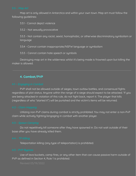Map art is only allowed in Antarctica and within your own town. Map art must follow the following guidelines:

3.5.1 - Cannot depict violence

3.5.2 - Not sexually provocative

3.5.3 - Not contain any racist, sexist, homophobic, or otherwise discriminatory symbolism or language

3.5.4 - Cannot contain inappropriate/NSFW language or symbolism

3.5.5 - Cannot contain hate speech or symbols

Destroying map art in the wilderness whilst it's being made is frowned upon but killing the maker is allowed.

## **4. Combat/PVP**

PVP shall not be allowed outside of sieges, town outlaw battles, and consensual fights regardless of plot status. Anyone within the range of a siege should expect to be attacked. 'If you are being attacked in violation of this rule, do not fight back, report it. The player that kills (regardless of who "started it") will be punished and the victim's items will be returned.

Utilizing non-PvP claims during combat is strictly prohibited. You may not enter a non-PvP claim while actively fighting/engaging in combat with another player.

Do not repetitively kill someone after they have spawned in. Do not wait outside of their base after you have already killed them.

Teleportation killing (any type of teleportation) is prohibited.

Use of lava buckets, camp fires, or any other item that can cause passive harm outside of PVP as defined in Section 4, Rule 1 is prohibited.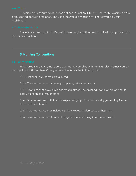Trapping players outside of PVP as defined in Section 4, Rule 1, whether by placing blocks, or by closing doors is prohibited. The use of towny jails mechanics is not covered by this prohibition.

Players who are a part of a Peaceful town and/or nation are prohibited from partaking in PVP or siege actions.

### **5. Naming Conventions**

When creating a town, make sure your name complies with naming rules. Names can be changed by staff members if they're not adhering to the following rules:

5.1.1 - Fictional town names are allowed.

5.1.2 - Town names cannot be inappropriate, offensive or toxic.

5.1.3 - Towns cannot have similar names to already established towns, where one could easily be confused with another.

5.1.4 - Town names must fit into the aspect of geopolitics and worldly game play. Meme towns are not allowed.

5.1.5 - Town names cannot include symbols except underscores or hyphens.

5.1.6 - Town names cannot prevent players from accessing information from it.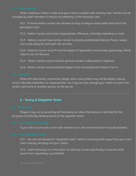When creating a Nation, make sure your name complies with naming rules. Names can be changed by staff members if they're not adhering to the following rules:

5.2.1 - Fictional Nation names are allowed as long as they're reasonable and match the geological area.

5.2.2 - Nation names cannot be inappropriate, offensive, culturally insensitive, or toxic.

5.2.3 - Nations cannot have similar names to already established Nations/Towns, where one could easily be confused with another.

5.2.4 - Nations' names must fit into the aspect of geopolitics and worldly game play. Meme nations are not allowed.

5.2.5 - Nation names cannot include symbols except underscores or hyphens.

5.2.6 - Nation names cannot prevent players from accessing information from it.

Minecraft usernames, nicknames, player skins, towny titles may not be explicit, sexual, racist, culturally insensitive, or inappropriate. You may not also change your name to match the similar username of another person on the server.

## **6 - Towny & SiegeWar Rules**

Players may not purposefully kill themselves or allow themselves to be killed for the purpose of artificially feeding points to the opposite nation.

If you wish to surround a town with another town, the innermost town must be peaceful.

6.3.1 - You are not allowed to "spaghetti claim", which is claiming land away from your main claim area by stringing out your claims.

6.3.2 - Claim blocking, as in the action of claiming chunks specifically to prevent other towns from expanding, is prohibited.